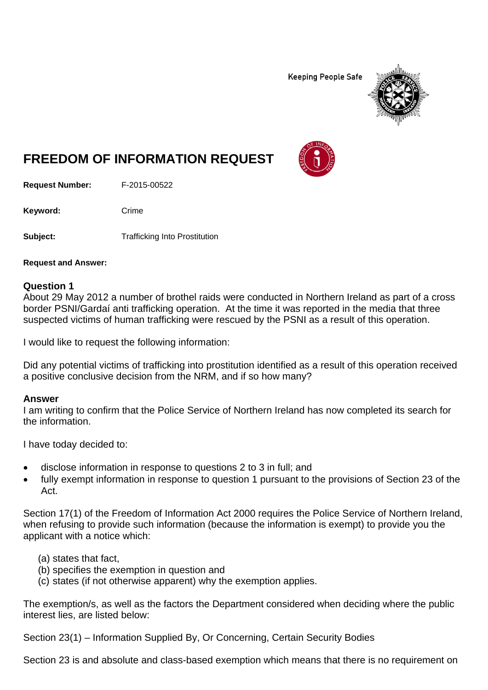**Keeping People Safe** 



# **FREEDOM OF INFORMATION REQUEST**

**Request Number:** F-2015-00522

Keyword: Crime

**Subject:** Trafficking Into Prostitution

**Request and Answer:** 

#### **Question 1**

About 29 May 2012 a number of brothel raids were conducted in Northern Ireland as part of a cross border PSNI/Gardaí anti trafficking operation. At the time it was reported in the media that three suspected victims of human trafficking were rescued by the PSNI as a result of this operation.

I would like to request the following information:

Did any potential victims of trafficking into prostitution identified as a result of this operation received a positive conclusive decision from the NRM, and if so how many?

#### **Answer**

I am writing to confirm that the Police Service of Northern Ireland has now completed its search for the information.

I have today decided to:

- disclose information in response to questions 2 to 3 in full; and
- fully exempt information in response to question 1 pursuant to the provisions of Section 23 of the Act.

Section 17(1) of the Freedom of Information Act 2000 requires the Police Service of Northern Ireland, when refusing to provide such information (because the information is exempt) to provide you the applicant with a notice which:

- (a) states that fact,
- (b) specifies the exemption in question and
- (c) states (if not otherwise apparent) why the exemption applies.

The exemption/s, as well as the factors the Department considered when deciding where the public interest lies, are listed below:

Section 23(1) – Information Supplied By, Or Concerning, Certain Security Bodies

Section 23 is and absolute and class-based exemption which means that there is no requirement on